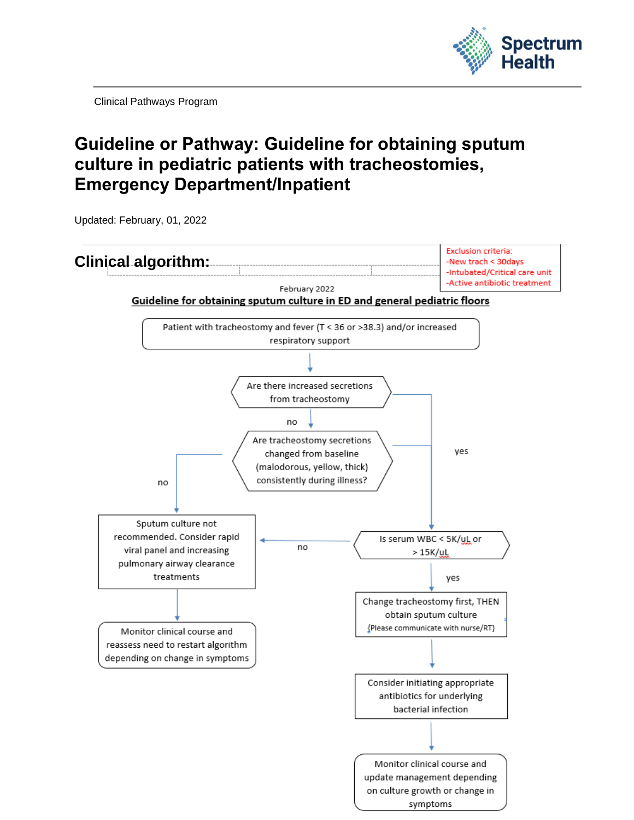

Clinical Pathways Program

## **Guideline or Pathway: Guideline for obtaining sputum culture in pediatric patients with tracheostomies, Emergency Department/Inpatient**

Updated: February, 01, 2022

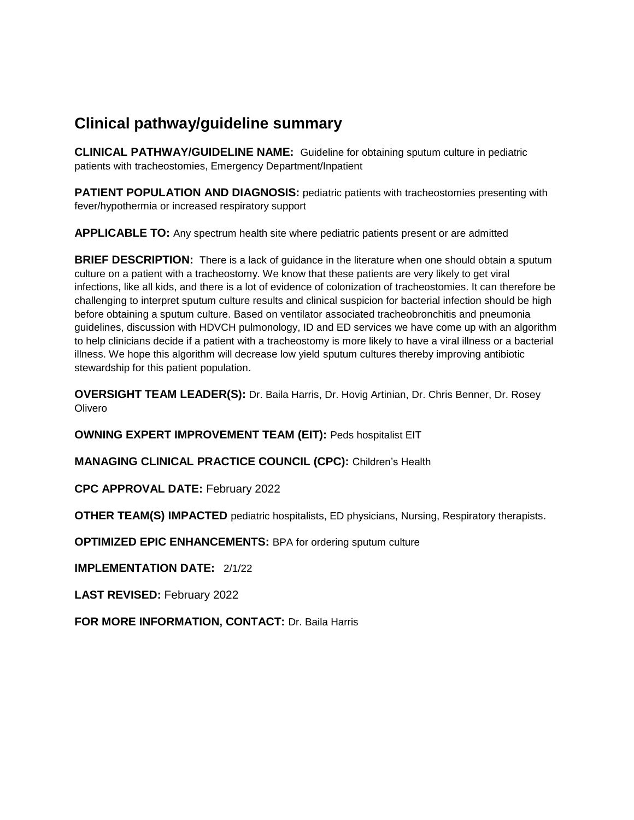## **Clinical pathway/guideline summary**

**CLINICAL PATHWAY/GUIDELINE NAME:** Guideline for obtaining sputum culture in pediatric patients with tracheostomies, Emergency Department/Inpatient

**PATIENT POPULATION AND DIAGNOSIS:** pediatric patients with tracheostomies presenting with fever/hypothermia or increased respiratory support

**APPLICABLE TO:** Any spectrum health site where pediatric patients present or are admitted

**BRIEF DESCRIPTION:** There is a lack of guidance in the literature when one should obtain a sputum culture on a patient with a tracheostomy. We know that these patients are very likely to get viral infections, like all kids, and there is a lot of evidence of colonization of tracheostomies. It can therefore be challenging to interpret sputum culture results and clinical suspicion for bacterial infection should be high before obtaining a sputum culture. Based on ventilator associated tracheobronchitis and pneumonia guidelines, discussion with HDVCH pulmonology, ID and ED services we have come up with an algorithm to help clinicians decide if a patient with a tracheostomy is more likely to have a viral illness or a bacterial illness. We hope this algorithm will decrease low yield sputum cultures thereby improving antibiotic stewardship for this patient population.

**OVERSIGHT TEAM LEADER(S):** Dr. Baila Harris, Dr. Hovig Artinian, Dr. Chris Benner, Dr. Rosey **Olivero** 

**OWNING EXPERT IMPROVEMENT TEAM (EIT):** Peds hospitalist EIT

**MANAGING CLINICAL PRACTICE COUNCIL (CPC):** Children's Health

**CPC APPROVAL DATE:** February 2022

**OTHER TEAM(S) IMPACTED** pediatric hospitalists, ED physicians, Nursing, Respiratory therapists.

**OPTIMIZED EPIC ENHANCEMENTS:** BPA for ordering sputum culture

**IMPLEMENTATION DATE:** 2/1/22

**LAST REVISED:** February 2022

**FOR MORE INFORMATION, CONTACT:** Dr. Baila Harris